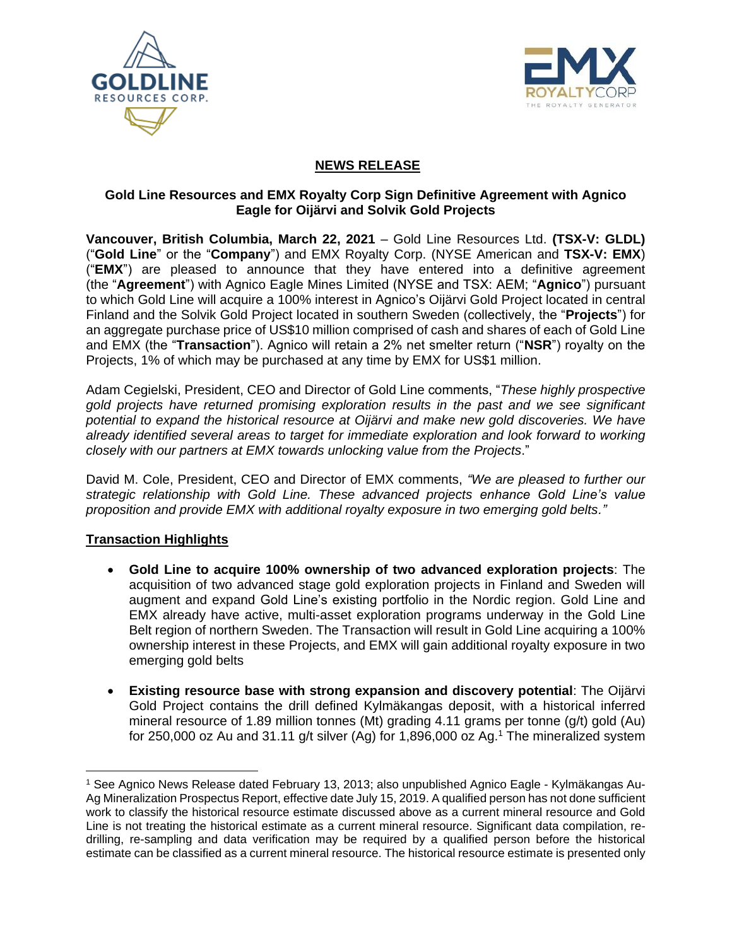



# **NEWS RELEASE**

### **Gold Line Resources and EMX Royalty Corp Sign Definitive Agreement with Agnico Eagle for Oijärvi and Solvik Gold Projects**

**Vancouver, British Columbia, March 22, 2021** – Gold Line Resources Ltd. **(TSX-V: GLDL)** ("**Gold Line**" or the "**Company**") and EMX Royalty Corp. (NYSE American and **TSX-V: EMX**) ("**EMX**") are pleased to announce that they have entered into a definitive agreement (the "**Agreement**") with Agnico Eagle Mines Limited (NYSE and TSX: AEM; "**Agnico**") pursuant to which Gold Line will acquire a 100% interest in Agnico's Oijärvi Gold Project located in central Finland and the Solvik Gold Project located in southern Sweden (collectively, the "**Projects**") for an aggregate purchase price of US\$10 million comprised of cash and shares of each of Gold Line and EMX (the "**Transaction**"). Agnico will retain a 2% net smelter return ("**NSR**") royalty on the Projects, 1% of which may be purchased at any time by EMX for US\$1 million.

Adam Cegielski, President, CEO and Director of Gold Line comments, "*These highly prospective gold projects have returned promising exploration results in the past and we see significant potential to expand the historical resource at Oijärvi and make new gold discoveries. We have already identified several areas to target for immediate exploration and look forward to working closely with our partners at EMX towards unlocking value from the Projects*."

David M. Cole, President, CEO and Director of EMX comments, *"We are pleased to further our strategic relationship with Gold Line. These advanced projects enhance Gold Line's value proposition and provide EMX with additional royalty exposure in two emerging gold belts."*

## **Transaction Highlights**

- **Gold Line to acquire 100% ownership of two advanced exploration projects**: The acquisition of two advanced stage gold exploration projects in Finland and Sweden will augment and expand Gold Line's existing portfolio in the Nordic region. Gold Line and EMX already have active, multi-asset exploration programs underway in the Gold Line Belt region of northern Sweden. The Transaction will result in Gold Line acquiring a 100% ownership interest in these Projects, and EMX will gain additional royalty exposure in two emerging gold belts
- **Existing resource base with strong expansion and discovery potential**: The Oijärvi Gold Project contains the drill defined Kylmäkangas deposit, with a historical inferred mineral resource of 1.89 million tonnes (Mt) grading 4.11 grams per tonne (g/t) gold (Au) for 250,000 oz Au and 31.11 g/t silver (Ag) for 1,896,000 oz Ag.<sup>1</sup> The mineralized system

<sup>1</sup> See Agnico News Release dated February 13, 2013; also unpublished Agnico Eagle - Kylmäkangas Au-Ag Mineralization Prospectus Report, effective date July 15, 2019. A qualified person has not done sufficient work to classify the historical resource estimate discussed above as a current mineral resource and Gold Line is not treating the historical estimate as a current mineral resource. Significant data compilation, redrilling, re-sampling and data verification may be required by a qualified person before the historical estimate can be classified as a current mineral resource. The historical resource estimate is presented only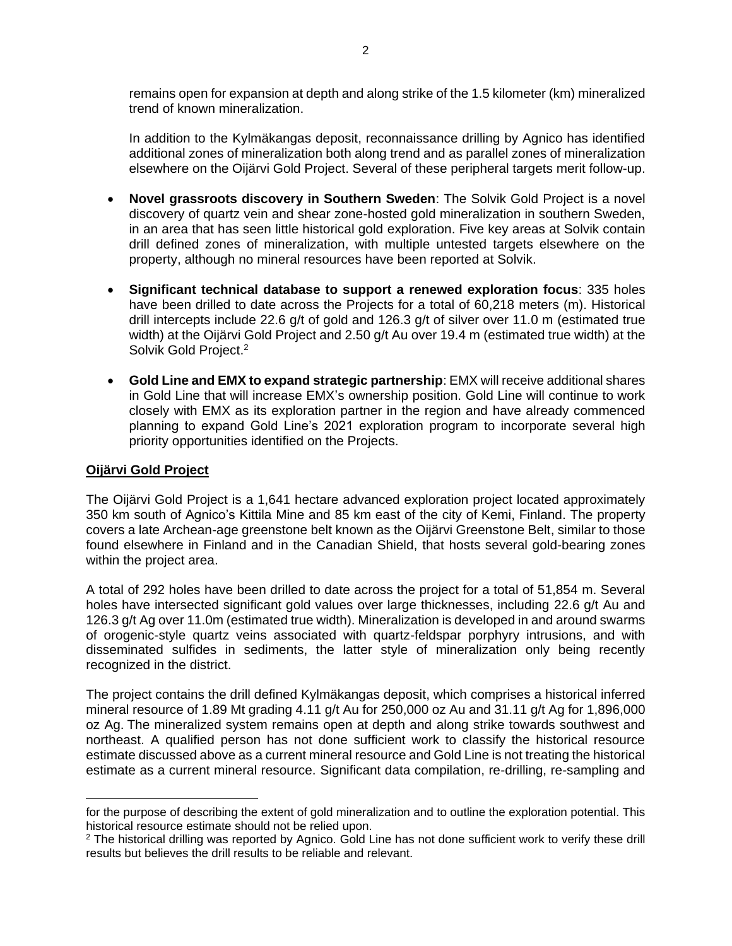remains open for expansion at depth and along strike of the 1.5 kilometer (km) mineralized trend of known mineralization.

In addition to the Kylmäkangas deposit, reconnaissance drilling by Agnico has identified additional zones of mineralization both along trend and as parallel zones of mineralization elsewhere on the Oijärvi Gold Project. Several of these peripheral targets merit follow-up.

- **Novel grassroots discovery in Southern Sweden**: The Solvik Gold Project is a novel discovery of quartz vein and shear zone-hosted gold mineralization in southern Sweden, in an area that has seen little historical gold exploration. Five key areas at Solvik contain drill defined zones of mineralization, with multiple untested targets elsewhere on the property, although no mineral resources have been reported at Solvik.
- **Significant technical database to support a renewed exploration focus**: 335 holes have been drilled to date across the Projects for a total of 60,218 meters (m). Historical drill intercepts include 22.6 g/t of gold and 126.3 g/t of silver over 11.0 m (estimated true width) at the Oijärvi Gold Project and 2.50 g/t Au over 19.4 m (estimated true width) at the Solvik Gold Project.<sup>2</sup>
- **Gold Line and EMX to expand strategic partnership**: EMX will receive additional shares in Gold Line that will increase EMX's ownership position. Gold Line will continue to work closely with EMX as its exploration partner in the region and have already commenced planning to expand Gold Line's 2021 exploration program to incorporate several high priority opportunities identified on the Projects.

#### **Oijärvi Gold Project**

The Oijärvi Gold Project is a 1,641 hectare advanced exploration project located approximately 350 km south of Agnico's Kittila Mine and 85 km east of the city of Kemi, Finland. The property covers a late Archean-age greenstone belt known as the Oijärvi Greenstone Belt, similar to those found elsewhere in Finland and in the Canadian Shield, that hosts several gold-bearing zones within the project area.

A total of 292 holes have been drilled to date across the project for a total of 51,854 m. Several holes have intersected significant gold values over large thicknesses, including 22.6 g/t Au and 126.3 g/t Ag over 11.0m (estimated true width). Mineralization is developed in and around swarms of orogenic-style quartz veins associated with quartz-feldspar porphyry intrusions, and with disseminated sulfides in sediments, the latter style of mineralization only being recently recognized in the district.

The project contains the drill defined Kylmäkangas deposit, which comprises a historical inferred mineral resource of 1.89 Mt grading 4.11 g/t Au for 250,000 oz Au and 31.11 g/t Ag for 1,896,000 oz Ag. The mineralized system remains open at depth and along strike towards southwest and northeast. A qualified person has not done sufficient work to classify the historical resource estimate discussed above as a current mineral resource and Gold Line is not treating the historical estimate as a current mineral resource. Significant data compilation, re-drilling, re-sampling and

for the purpose of describing the extent of gold mineralization and to outline the exploration potential. This historical resource estimate should not be relied upon.

<sup>&</sup>lt;sup>2</sup> The historical drilling was reported by Agnico. Gold Line has not done sufficient work to verify these drill results but believes the drill results to be reliable and relevant.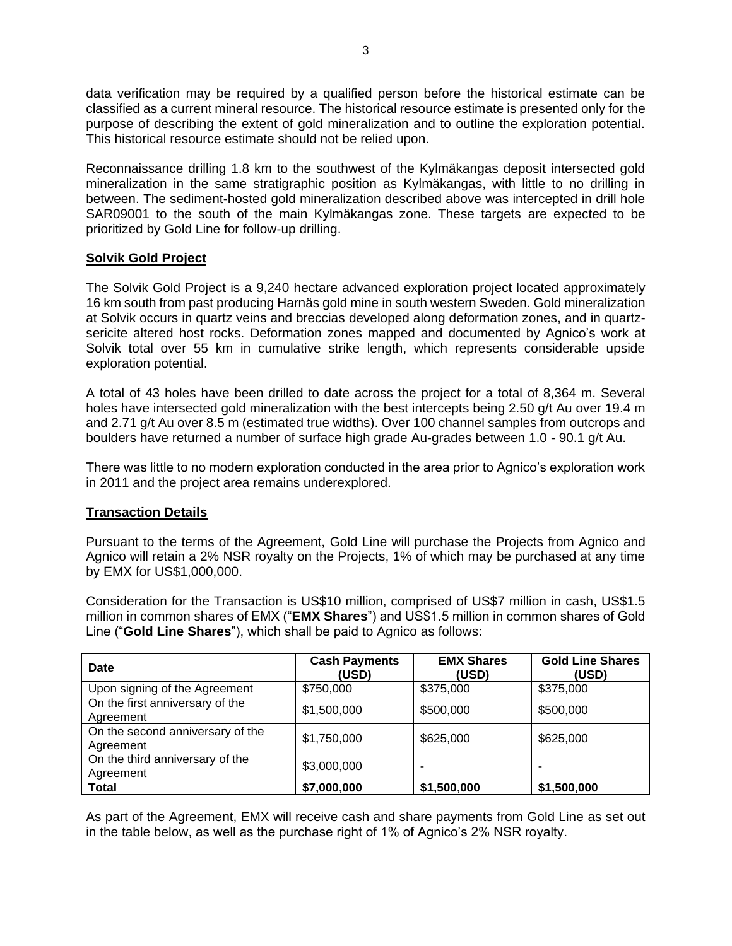data verification may be required by a qualified person before the historical estimate can be classified as a current mineral resource. The historical resource estimate is presented only for the purpose of describing the extent of gold mineralization and to outline the exploration potential. This historical resource estimate should not be relied upon.

Reconnaissance drilling 1.8 km to the southwest of the Kylmäkangas deposit intersected gold mineralization in the same stratigraphic position as Kylmäkangas, with little to no drilling in between. The sediment-hosted gold mineralization described above was intercepted in drill hole SAR09001 to the south of the main Kylmäkangas zone. These targets are expected to be prioritized by Gold Line for follow-up drilling.

## **Solvik Gold Project**

The Solvik Gold Project is a 9,240 hectare advanced exploration project located approximately 16 km south from past producing Harnäs gold mine in south western Sweden. Gold mineralization at Solvik occurs in quartz veins and breccias developed along deformation zones, and in quartzsericite altered host rocks. Deformation zones mapped and documented by Agnico's work at Solvik total over 55 km in cumulative strike length, which represents considerable upside exploration potential.

A total of 43 holes have been drilled to date across the project for a total of 8,364 m. Several holes have intersected gold mineralization with the best intercepts being 2.50 g/t Au over 19.4 m and 2.71 g/t Au over 8.5 m (estimated true widths). Over 100 channel samples from outcrops and boulders have returned a number of surface high grade Au-grades between 1.0 - 90.1 g/t Au.

There was little to no modern exploration conducted in the area prior to Agnico's exploration work in 2011 and the project area remains underexplored.

## **Transaction Details**

Pursuant to the terms of the Agreement, Gold Line will purchase the Projects from Agnico and Agnico will retain a 2% NSR royalty on the Projects, 1% of which may be purchased at any time by EMX for US\$1,000,000.

Consideration for the Transaction is US\$10 million, comprised of US\$7 million in cash, US\$1.5 million in common shares of EMX ("**EMX Shares**") and US\$1.5 million in common shares of Gold Line ("**Gold Line Shares**"), which shall be paid to Agnico as follows:

| Date                                          | <b>Cash Payments</b><br>(USD) | <b>EMX Shares</b><br>(USD) | <b>Gold Line Shares</b><br>(USD) |
|-----------------------------------------------|-------------------------------|----------------------------|----------------------------------|
| Upon signing of the Agreement                 | \$750,000                     | \$375,000                  | \$375,000                        |
| On the first anniversary of the<br>Agreement  | \$1,500,000                   | \$500,000                  | \$500,000                        |
| On the second anniversary of the<br>Agreement | \$1,750,000                   | \$625,000                  | \$625,000                        |
| On the third anniversary of the<br>Agreement  | \$3,000,000                   |                            | $\overline{\phantom{0}}$         |
| <b>Total</b>                                  | \$7,000,000                   | \$1,500,000                | \$1,500,000                      |

As part of the Agreement, EMX will receive cash and share payments from Gold Line as set out in the table below, as well as the purchase right of 1% of Agnico's 2% NSR royalty.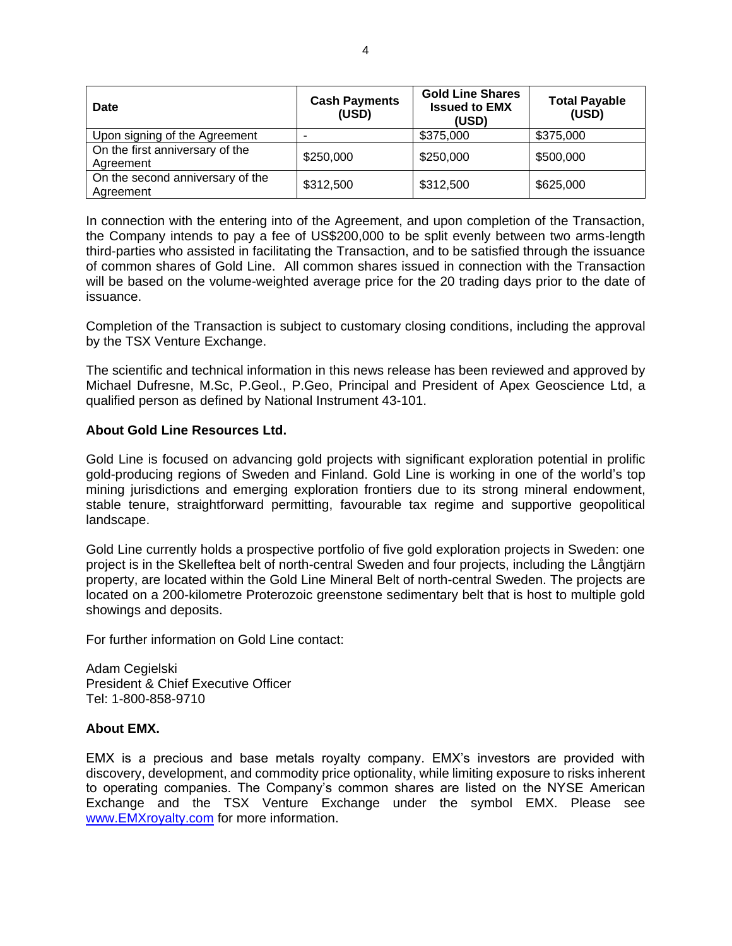| Date                                          | <b>Cash Payments</b><br>(USD) | <b>Gold Line Shares</b><br><b>Issued to EMX</b><br>(USD) | <b>Total Payable</b><br>(USD) |
|-----------------------------------------------|-------------------------------|----------------------------------------------------------|-------------------------------|
| Upon signing of the Agreement                 |                               | \$375,000                                                | \$375,000                     |
| On the first anniversary of the<br>Agreement  | \$250,000                     | \$250,000                                                | \$500,000                     |
| On the second anniversary of the<br>Agreement | \$312,500                     | \$312,500                                                | \$625,000                     |

In connection with the entering into of the Agreement, and upon completion of the Transaction, the Company intends to pay a fee of US\$200,000 to be split evenly between two arms-length third-parties who assisted in facilitating the Transaction, and to be satisfied through the issuance of common shares of Gold Line. All common shares issued in connection with the Transaction will be based on the volume-weighted average price for the 20 trading days prior to the date of issuance.

Completion of the Transaction is subject to customary closing conditions, including the approval by the TSX Venture Exchange.

The scientific and technical information in this news release has been reviewed and approved by Michael Dufresne, M.Sc, P.Geol., P.Geo, Principal and President of Apex Geoscience Ltd, a qualified person as defined by National Instrument 43-101.

#### **About Gold Line Resources Ltd.**

Gold Line is focused on advancing gold projects with significant exploration potential in prolific gold-producing regions of Sweden and Finland. Gold Line is working in one of the world's top mining jurisdictions and emerging exploration frontiers due to its strong mineral endowment, stable tenure, straightforward permitting, favourable tax regime and supportive geopolitical landscape.

Gold Line currently holds a prospective portfolio of five gold exploration projects in Sweden: one project is in the Skelleftea belt of north-central Sweden and four projects, including the Långtjärn property, are located within the Gold Line Mineral Belt of north-central Sweden. The projects are located on a 200-kilometre Proterozoic greenstone sedimentary belt that is host to multiple gold showings and deposits.

For further information on Gold Line contact:

Adam Cegielski President & Chief Executive Officer Tel: 1-800-858-9710

#### **About EMX.**

EMX is a precious and base metals royalty company. EMX's investors are provided with discovery, development, and commodity price optionality, while limiting exposure to risks inherent to operating companies. The Company's common shares are listed on the NYSE American Exchange and the TSX Venture Exchange under the symbol EMX. Please see [www.EMXroyalty.com](http://www.emxroyalty.com/) for more information.